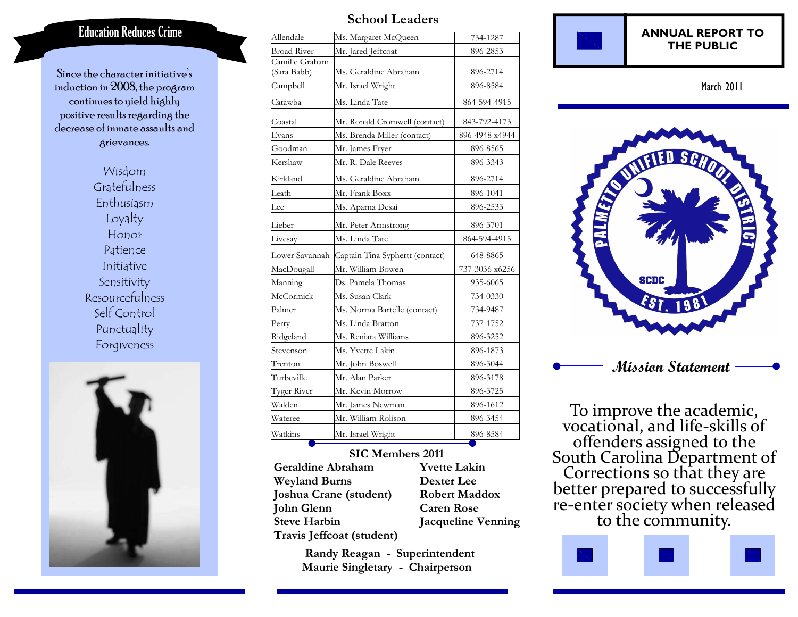# **Education Reduces Crime**

Since the character initiative's induction in 2008, the program continues to yield highly positive results regarding the decrease of inmate assaults and grievances.

> Wisdom Gratefulness Enthusiasm Loyalty Honor Patience Initiative Sensitivity Resourcefulness Self Control Punctuality Forgiveness



## **School Leaders**

| Allendale                     | Ms. Margaret McQueen            | 734-1287       |
|-------------------------------|---------------------------------|----------------|
| <b>Broad River</b>            | Mr. Jared Jeffcoat              | 896-2853       |
| Camille Graham<br>(Sara Babb) | Ms. Geraldine Abraham           | 896-2714       |
| Campbell                      | Mr. Israel Wright               | 896-8584       |
| Catawba                       | Ms. Linda Tate                  | 864-594-4915   |
| Coastal                       | Mr. Ronald Cromwell (contact)   | 843-792-4173   |
| Evans                         | Ms. Brenda Miller (contact)     | 896-4948 x4944 |
| Goodman                       | Mr. James Fryer                 | 896-8565       |
| Kershaw                       | Mr. R. Dale Reeves              | 896-3343       |
| Kirkland                      | Ms. Geraldine Abraham           | 896-2714       |
| Leath                         | Mr. Frank Boxx                  | 896-1041       |
| Lee                           | Ms. Aparna Desai                | 896-2533       |
| Lieber                        | Mr. Peter Armstrong             | 896-3701       |
| Livesay                       | Ms. Linda Tate                  | 864-594-4915   |
| Lower Savannah                | Captain Tina Syphertt (contact) | 648-8865       |
| MacDougall                    | Mr. William Bowen               | 737-3036 x6256 |
| Manning                       | Ds. Pamela Thomas               | 935-6065       |
| McCormick                     | Ms. Susan Clark                 | 734-0330       |
| Palmer                        | Ms. Norma Bartelle (contact)    | 734-9487       |
| Perry                         | Ms. Linda Bratton               | 737-1752       |
| Ridgeland                     | Ms. Reniata Williams            | 896-3252       |
| Stevenson                     | Ms. Yvette Lakin                | 896-1873       |
| Trenton                       | Mr. John Boswell                | 896-3044       |
| Turbeville                    | Mr. Alan Parker                 | 896-3178       |
| Tyger River                   | Mr. Kevin Morrow                | 896-3725       |
| Walden                        | Mr. James Newman                | 896-1612       |
| Wateree                       | Mr. William Rolison             | 896-3454       |
| Watkins                       | Mr. Israel Wright               | 896-8584       |

### **SIC Members 2011 Geraldine Abraham Weyland Burns Joshua Crane (student) John Glenn Steve Harbin Travis Jeffcoat (student)**

**Yvette Lakin Dexter Lee Robert Maddox Caren Rose Jacqueline Venning** 

 **Randy Reagan - Superintendent Maurie Singletary - Chairperson** 



March 2011



To improve the academic, vocational, and life-skills of South Carolina Department of<br>Corrections so that they are<br>better prepared to successfully<br>re-enter society when released<br>to the community.